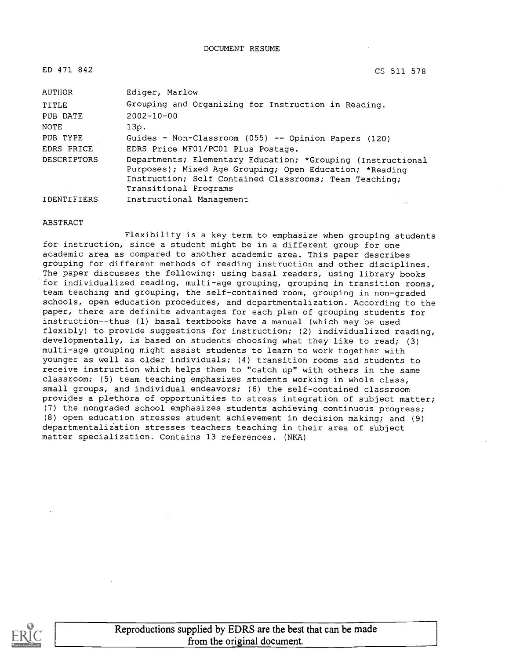| ED 471 842         | CS 511 578                                                                                                                                                                                                 |
|--------------------|------------------------------------------------------------------------------------------------------------------------------------------------------------------------------------------------------------|
| AUTHOR             | Ediger, Marlow                                                                                                                                                                                             |
| TITLE              | Grouping and Organizing for Instruction in Reading.                                                                                                                                                        |
| PUB DATE           | $2002 - 10 - 00$                                                                                                                                                                                           |
| NOTE               | 13p.                                                                                                                                                                                                       |
| PUB TYPE           | Guides - Non-Classroom (055) -- Opinion Papers (120)                                                                                                                                                       |
| EDRS PRICE         | EDRS Price MF01/PC01 Plus Postage.                                                                                                                                                                         |
| <b>DESCRIPTORS</b> | Departments; Elementary Education; *Grouping (Instructional)<br>Purposes); Mixed Age Grouping; Open Education; *Reading<br>Instruction; Self Contained Classrooms; Team Teaching;<br>Transitional Programs |
| <b>IDENTIFIERS</b> | Instructional Management                                                                                                                                                                                   |

#### ABSTRACT

Flexibility is a key term to emphasize when grouping students for instruction, since a student might be in a different group for one academic area as compared to another academic area. This paper describes grouping for different methods of reading instruction and other disciplines. The paper discusses the following: using basal readers, using library books for individualized reading, multi-age grouping, grouping in transition rooms, team teaching and grouping, the self-contained room, grouping in non-graded schools, open education procedures, and departmentalization. According to the paper, there are definite advantages for each plan of grouping students for instruction--thus (1) basal textbooks have a manual (which may be used flexibly) to provide suggestions for instruction; (2) individualized reading, developmentally, is based on students choosing what they like to read; (3) multi-age grouping might assist students to learn to work together with younger as well as older individuals; (4) transition rooms aid students to receive instruction which helps them to "catch up" with others in the same classroom; (5) team teaching emphasizes students working in whole class, small groups, and individual endeavors; (6) the self-contained classroom provides a plethora of opportunities to stress integration of subject matter; (7) the nongraded school emphasizes students achieving continuous progress; (8) open education stresses student achievement in decision making; and (9) departmentalization stresses teachers teaching in their area of subject matter specialization. Contains 13 references. (NKA)

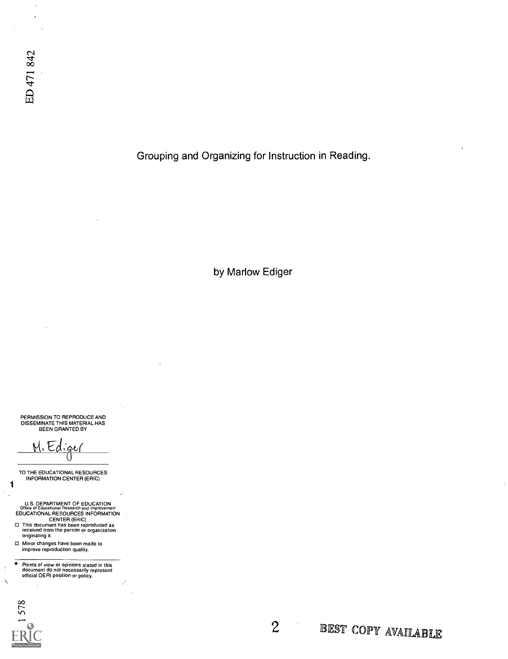$\frac{1}{\epsilon}$  $\cdot$ 

Grouping and Organizing for Instruction in Reading.

by Marlow Ediger

PERMISSION TO REPRODUCE AND DISSEMINATE THIS MATERIAL HAS BEEN GRANTED BY

<u>m</u>.Ed

TO THE EDUCATIONAL RESOURCES INFORMATION CENTER (ERIC)

U.S. DEPARTMENT OF EDUCATION<br>Office of Educational Research and Improvement<br>EDUCATIONAL RESOURCES INFORMATION<br>This document has been reproduced as<br>received from the person or organization

originating it.

□ Minor changes have been made to improve reproduction quality.

 $\overline{\bullet}$ Points of view or opinions stated in this document do not necessarily represent official OERI position or policy.

578 Text Provided by ERIC

 $\mathbf{1}$ 

 $\frac{1}{4}$  $\bar{\mathbf{r}}$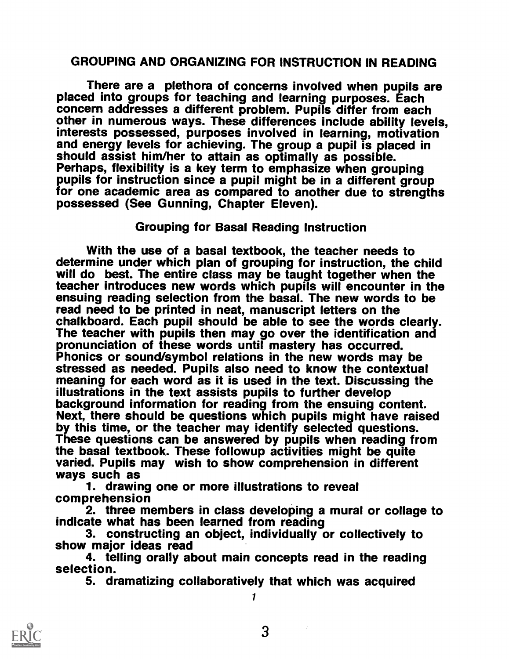#### GROUPING AND ORGANIZING FOR INSTRUCTION IN READING

There are a plethora of concerns involved when pupils are placed into groups for teaching and learning purposes. Each other in numerous ways. These differences include ability levels, interests possessed, purposes involved in learning, motivation and energy levels for achieving. The group a pupil is placed in should assist him/her to attain as optimally as possible.<br>Perhaps, flexibility is a key term to emphasize when grouping<br>pupils for instruction since a pupil might be in a different group for one academic area as compared to another due to strengths possessed (See Gunning, Chapter Eleven).

#### Grouping for Basal Reading Instruction

With the use of a basal textbook, the teacher needs to<br>determine under which plan of grouping for instruction, the child will do best. The entire class may be taught together when the teacher introduces new words which pupils will encounter in the ensuing reading selection from the basal. The new words to be read need to be printed in neat, manuscript letters on the chalkboard. Each pupil should be able to see the words clearly.<br>The teacher with pupils then may go over the identification and<br>pronunciation of these words until mastery has occurred.<br>Phonics or sound/symbol relations in stressed as needed. Pupils also need to know the contextual meaning for each word as it is used in the text. Discussing the illustrations in the text assists pupils to further develop<br>background information for reading from the ensuing content. Next, there should be questions which pupils might have raised<br>by this time, or the teacher may identify selected questions.<br>These questions can be answered by pupils when reading from the basal textbook. These followup activities might be quite varied. Pupils may wish to show comprehension in different<br>ways such as 1. drawing one or more illustrations to reveal<br>comprehension

2. three members in class developing a mural or collage to indicate what has been learned from reading

3. constructing an object, individually or collectively to show major ideas read

4. telling orally about main concepts read in the reading selection.

5. dramatizing collaboratively that which was acquired 1

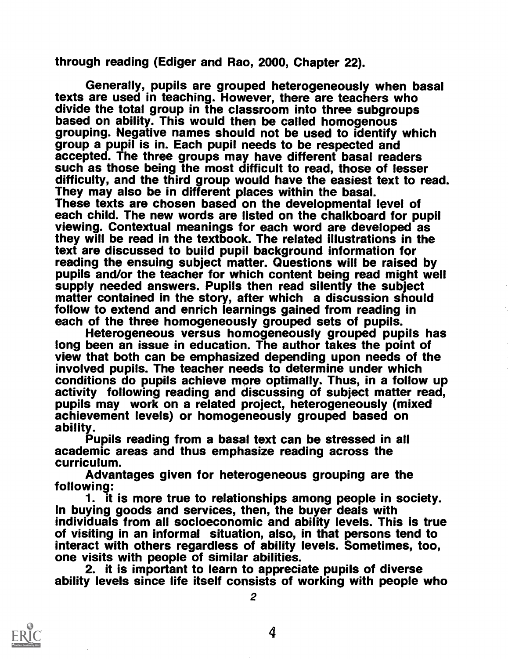through reading (Ediger and Rao, 2000, Chapter 22).

Generally, pupils are grouped heterogeneously when basal<br>texts are used in teaching. However, there are teachers who<br>divide the total group in the classroom into three subgroups<br>based on ability. This would then be called group a pupil is in. Each pupil needs to be respected and<br>accepted. The three groups may have different basal readers such as those being the most difficult to read, those of lesser<br>difficulty, and the third group would have the easiest text to read.<br>They may also be in different places within the basal.<br>These texts are chosen based on th they will be read in the textbook. The related illustrations in the text are discussed to build pupil background information for<br>reading the ensuing subject matter. Questions will be raised by pupils and/or the teacher for which content being read might well<br>supply needed answers. Pupils then read silently the subject<br>matter contained in the story, after which a discussion should<br>follow to extend and enrich lear

each of the three homogeneously grouped sets of pupils.<br>Heterogeneous versus homogeneously grouped pupils has long been an issue in education. The author takes the point of view that both can be emphasized depending upon needs of the involved pupils. The teacher needs to determine under which<br>conditions do pupils achieve more optimally. Thus, in a follow up activity following reading and discussing of subject matter read, pupils may work on a related project, heterogeneously (mixed achievement levels) or homogeneously grouped based on<br>ability.<br>Pupils reading from a basal text can be stressed in all<br>academic areas and thus emphasize reading across the

curriculum.

Advantages given for heterogeneous grouping are the following:

1. it is more true to relationships among people in society. In buying goods and services, then, the buyer deals with individuals from all socioeconomic and ability levels. This is true<br>of visiting in an informal situation, also, in that persons tend to interact with others regardless of ability levels. Sometimes, too, one visits with people of similar abilities.<br>2. it is important to learn to appreciate pupils of diverse

ability levels since life itself consists of working with people who



2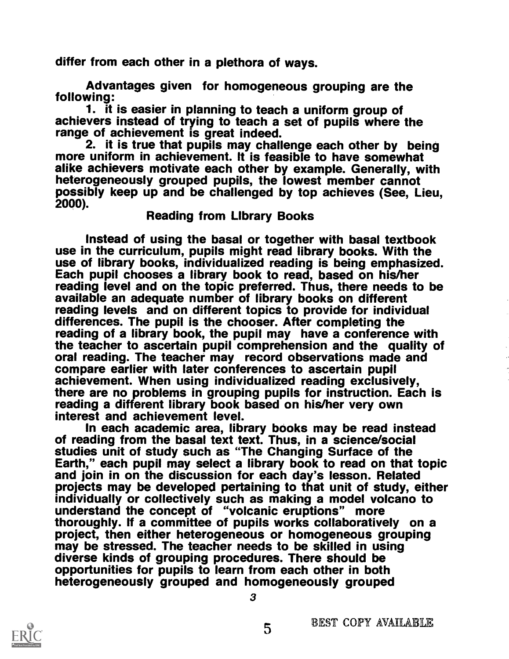differ from each other in a plethora of ways.

Advantages given for homogeneous grouping are the following:<br>1. it is easier in planning to teach a uniform group of

achievers instead of trying to teach a set of pupils where the range of achievement is great indeed.

2. it is true that pupils may challenge each other by being more uniform in achievement. It is feasible to have somewhat alike achievers motivate each other by example. Generally, with heterogeneously grouped pupils, the lowest member cannot<br>possibly keep up and be challenged by top achieves (See, Lieu,<br>2000). Reading from Library Books

Instead of using the basal or together with basal textbook use in the curriculum, pupils might read library books. With the use of library books, individualized reading is being emphasized. Each pupil chooses a library book to read, based on his/her reading level and on the topic preferred. Thus, there needs to be available an adequate number of library books on different reading levels and on different topics to provide for individual differences. The pupil is the chooser. After completing the reading of a library book, the pupil may have a conference with the teacher to ascertain pupil comprehension and the quality of oral reading. The teacher may record observations made and compare earlier with later conferences to ascertain pupil achievement. When using individualized reading exclusively,<br>there are no problems in grouping pupils for instruction. Each is reading a different library book based on his/her very own

interest and achievement level.<br>In each academic area, library books may be read instead of reading from the basal text text. Thus, in a science/social<br>studies unit of study such as "The Changing Surface of the<br>Earth," each pupil may select a library book to read on that topic<br>and join in on the discussion for projects may be developed pertaining to that unit of study, either individually or collectively such as making a model volcano to understand the concept of "volcanic eruptions" more thoroughly. If a committee of pupils works collaboratively on a project, then either heterogeneous or homogeneous grouping may be stressed. The teacher needs to be skilled in using diverse kinds of grouping procedures. There should be opportunities for pupils to learn from each other in both heterogeneously grouped and homogeneously grouped

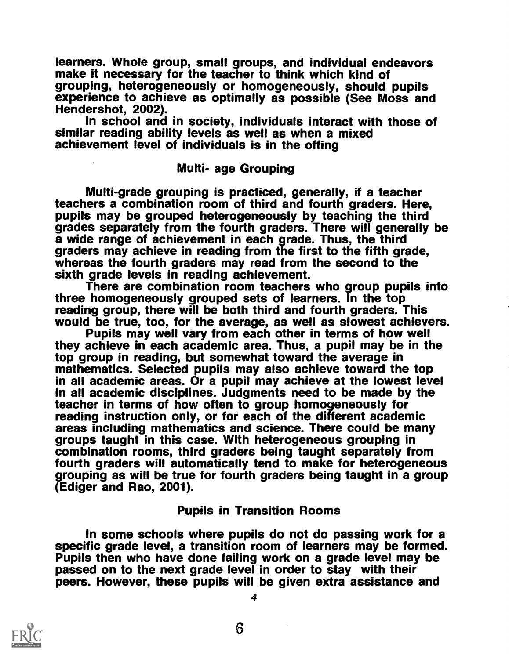learners. Whole group, small groups, and individual endeavors<br>make it necessary for the teacher to think which kind of<br>grouping, heterogeneously or homogeneously, should pupils<br>experience to achieve as optimally as possibl

#### Multi- age Grouping

Multi-grade grouping is practiced, generally, if a teacher<br>teachers a combination room of third and fourth graders. Here, pupils may be grouped heterogeneously by teaching the third grades separately from the fourth graders. There will generally be a wide range of achievement in each grade. Thus, the third<br>graders may achieve in reading from the first to the fifth grade,<br>whereas the fourth graders may read from the second to the<br>sixth grade levels in reading achievem

There are combination room teachers who group pupils into three homogeneously grouped sets of learners. In the top reading group, there will be both third and fourth graders. This

would be true, too, for the average, as well as slowest achievers.<br>Pupils may well vary from each other in terms of how well<br>they achieve in each academic area. Thus, a pupil may be in the<br>top group in reading, but somewha mathematics. Selected pupils may also achieve toward the top in all academic areas. Or a pupil may achieve at the lowest level in all academic disciplines. Judgments need to be made by the teacher in terms of how often to group homogeneously for<br>reading instruction only, or for each of the different academic areas including mathematics and science. There could be many groups taught in this case. With heterogeneous grouping in combination rooms, third graders being taught separately from grouping as will be true for fourth graders being taught in a group (Ediger and Rao, 2001).

#### Pupils in Transition Rooms

In some schools where pupils do not do passing work for a specific grade level, a transition room of learners may be formed. Pupils then who have done failing work on a grade level may be passed on to the next grade level in order to stay with their peers. However, these pupils will be given extra assistance and



4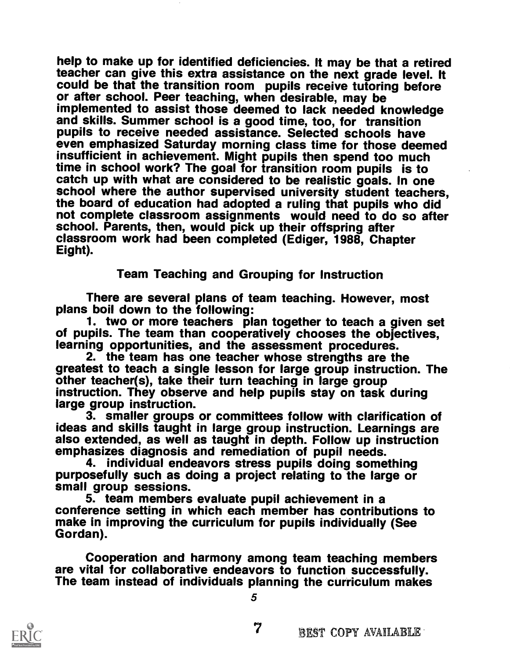help to make up for identified deficiencies. It may be that a retired teacher can give this extra assistance on the next grade level. It could be that the transition room pupils receive tutoring before or after school. Peer teaching, when desirable, may be implemented to assist those deemed to lack needed knowledge<br>and skills. Summer school is a good time, too, for transition pupils to receive needed assistance. Selected schools have even emphasized Saturday morning class time for those deemed insufficient in achievement. Might pupils then spend too much time in school work? The goal for transition room pupils is to catch up with what are considered to be realistic goals. In one school where the author supervised university student teachers, the board of education had adopted a ruling that pupils who did not complete classroom assignments would need to do so after<br>school. Parents, then, would pick up their offspring after classroom work had been completed (Ediger, 1988, Chapter<br>Eight).

#### Team Teaching and Grouping for Instruction

There are several plans of team teaching. However, most<br>plans boil down to the following:<br>1. two or more teachers plan together to teach a given set<br>of pupils. The team than cooperatively chooses the objectives, learning opportunities, and the assessment procedures.<br>2. the team has one teacher whose strengths are the

greatest to teach a single lesson for large group instruction. The other teacher(s), take their turn teaching in large group instruction. They observe and help pupils stay on task during<br>large group instruction.

3. smaller groups or committees follow with clarification of ideas and skills taught in large group instruction. Learnings are also extended, as well as taught in depth. Follow up instruction emphasizes diagnosis and remediation of pupil needs.

purposefully such as doing a project relating to the large or<br>small group sessions.<br>5. team members evaluate pupil achievement in a<br>conference setting in which each member has contributions to

make in improving the curriculum for pupils individually (See Gordan).

Cooperation and harmony among team teaching members are vital for collaborative endeavors to function successfully. The team instead of individuals planning the curriculum makes

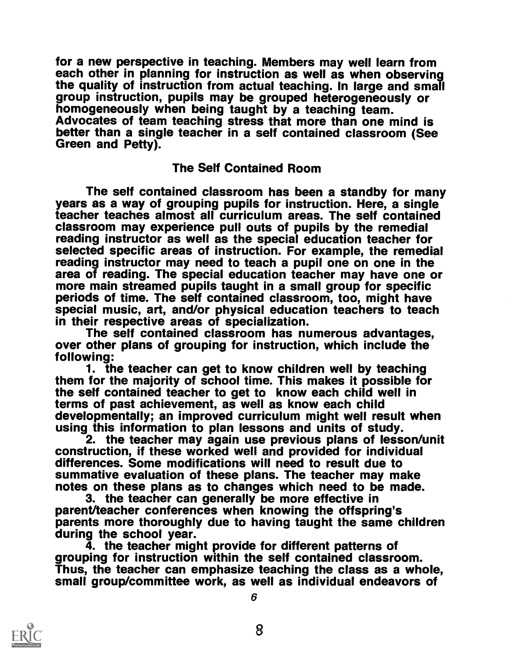for a new perspective in teaching. Members may well learn from each other in planning for instruction as well as when observing<br>the quality of instruction from actual teaching. In large and small group instruction, pupils may be grouped heterogeneously or<br>homogeneously when being taught by a teaching team.<br>Advocates of team teaching stress that more than one mind is<br>better than a single teacher in a self contained

#### The Self Contained Room

The self contained classroom has been a standby for many years as a way of grouping pupils for instruction. Here, a single teacher teaches almost all curriculum areas. The self contained<br>classroom may experience pull outs of pupils by the remedial reading instructor as well as the special education teacher for<br>selected specific areas of instruction. For example, the remedial<br>reading instructor may need to teach a pupil one on one in the<br>area of reading. The special more main streamed pupils taught in a small group for specific<br>periods of time. The self contained classroom, too, might have special music, art, and/or physical education teachers to teach<br>in their respective areas of specialization.

The self contained classroom has numerous advantages, over other plans of grouping for instruction, which include the following:

1. the teacher can get to know children well by teaching them for the majority of school time. This makes it possible for the self contained teacher to get to know each child well in terms of past achievement, as well as know each child developmentally; an improved curriculum might well result when using this information to plan lessons and units of study.

2. the teacher may again use previous plans of lesson/unit construction, if these worked well and provided for individual differences. Some modifications will need to result due to summative evaluation of these plans. The teacher may make<br>notes on these plans as to changes which need to be made.<br>3. the teacher can generally be more effective in<br>parent/teacher conferences when knowing the offspring's

parents more thoroughly due to having taught the same children<br>during the school year.<br>4. the teacher might provide for different patterns of<br>grouping for instruction within the self contained classroom.<br>Thus, the teacher

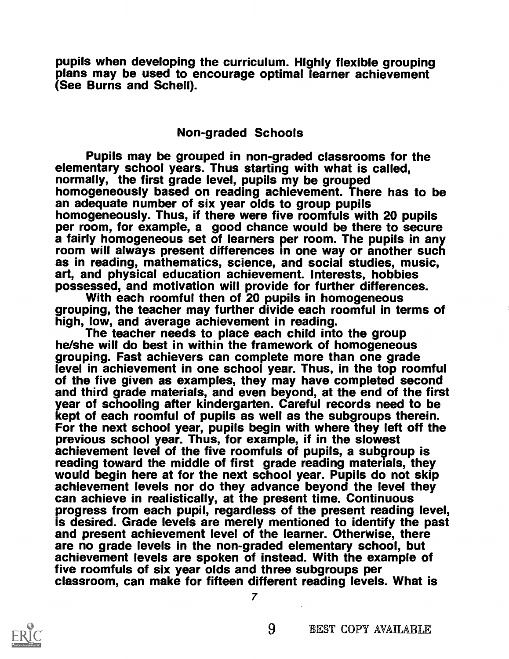pupils when developing the curriculum. Highly flexible grouping plans may be used to encourage optimal learner achievement (See Burns and Schell).

#### Non-graded Schools

Pupils may be grouped in non-graded classrooms for the elementary school years. Thus starting with what is called, normally, the first grade level, pupils my be grouped homogeneously based on reading achievement. There has to be<br>an adequate number of six year olds to group pupils homogeneously. Thus, if there were five roomfuls with 20 pupils per room, for example, a good chance would be there to secure a fairly homogeneous set of learners per room. The pupils in any room will always present differences in one way or another such as in reading, mathematics, science, and social studies, music,<br>art, and physical education achievement. Interests, hobbies<br>possessed, and motivation will provide for further differences.<br>With each roomful then of 20 pupil

he/she will do best in within the framework of homogeneous<br>grouping. Fast achievers can complete more than one grade<br>level in achievement in one school year. Thus, in the top roomful of the five given as examples, they may have completed second and third grade materials, and even beyond, at the end of the first year of schooling after kindergarten. Careful records need to be kept of each roomful of pupils as well as the subgroups therein. For the next school year, pupils begin with where they left off the previous school year. Thus, for example, if in the slowest achievement level of the five roomfuls of pupils, a subgroup is reading toward the middle of first grade reading materials, they would begin here at for the next school year. Pupils do not skip achievement levels nor do they advance beyond the level they can achieve in realistically, at the present time. Continuous progress from each pupil, regardless of the present reading level, is desired. Grade levels are merely mentioned to identify the past<br>and present achievement level of the learner. Otherwise, there<br>are no grade levels in the non-graded elementary school, but<br>achievement levels are spoken o

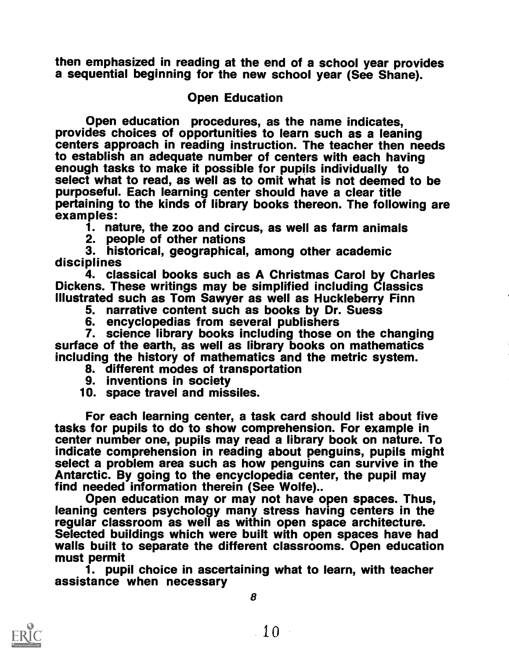then emphasized in reading at the end of a school year provides a sequential beginning for the new school year (See Shane).

#### Open Education

Open education procedures, as the name indicates, provides choices of opportunities to learn such as a leaning centers approach in reading instruction. The teacher then needs to establish an adequate number of centers with each having enough tasks to make it possible for pupils individually to select what to read, as well as to omit what is not deemed to be purposeful. Each learning center should have a clear title pertaining to the kinds of library books thereon. The following are examples:

1. nature, the zoo and circus, as well as farm animals

2. people of other nations

3. historical, geographical, among other academic disciplines

Dickens. These writings may be simplified including Classics Illustrated such as Tom Sawyer as well as Huckleberry Finn

5. narrative content such as books by Dr. Suess

6. encyclopedias from several publishers

7. science library books including those on the changing surface of the earth, as well as library books on mathematics including the history of mathematics and the metric system.

8. different modes of transportation<br>9. inventions in society

10. space travel and missiles.

For each learning center, a task card should list about five tasks for pupils to do to show comprehension. For example in center number one, pupils may read a library book on nature. To indicate comprehension in reading about penguins, pupils might select a problem area such as how penguins can survive in the Antarctic. By going to the encyclopedia center, the pupil may find needed information therein (Se

find needed information may or may not have open spaces. Thus, leaning centers psychology many stress having centers in the<br>regular classroom as well as within open space architecture. Selected buildings which were built with open spaces have had walls built to separate the different classrooms. Open education must permit

1. pupil choice in ascertaining what to learn, with teacher assistance when necessary

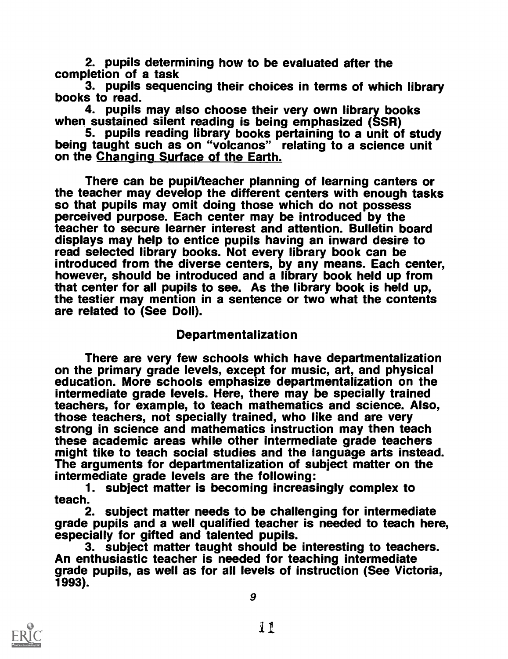2. pupils determining how to be evaluated after the completion of a task

3. pupils sequencing their choices in terms of which library<br>books to read.<br>4. pupils may also choose their very own library books

when sustained silent reading is being emphasized (SSR)

5. pupils reading library books pertaining to a unit of study being taught such as on "volcanos" relating to a science unit on the Changing Surface of the Earth.

There can be pupil/teacher planning of learning canters or<br>the teacher may develop the different centers with enough tasks so that pupils may omit doing those which do not possess perceived purpose. Each center may be introduced by the teacher to secure learner interest and attention. Bulletin board displays may help to entice pupils having an inward desire to read selected library books. Not every library book can be introduced from the diverse centers, by any means. Each center, however, should be introduced and a library book held up from that center for all pupils to see. As the library book is held up, the testier may mention in a sentence or two what the contents are related to (See Doll).

#### Departmentalization

There are very few schools which have departmentalization on the primary grade levels, except for music, art, and physical education. More schools emphasize departmentalization on the intermediate grade levels. Here, there may be specially trained those teachers, not specially trained, who like and are very strong in science and mathematics instruction may then teach<br>these academic areas while other intermediate grade teachers might tike to teach social studies and the language arts instead.<br>The arguments for departmentalization of subject matter on the intermediate grade levels are the following:

1. subject matter is becoming increasingly complex to teach.

2. subject matter needs to be challenging for intermediate grade pupils and a well qualified teacher is needed to teach here,<br>especially for gifted and talented pupils.<br>3. subiect matter taught should be interesting to teachers.

An enthusiastic teacher is needed for teaching intermediate grade pupils, as well as for all levels of instruction (See Victoria, 1993).

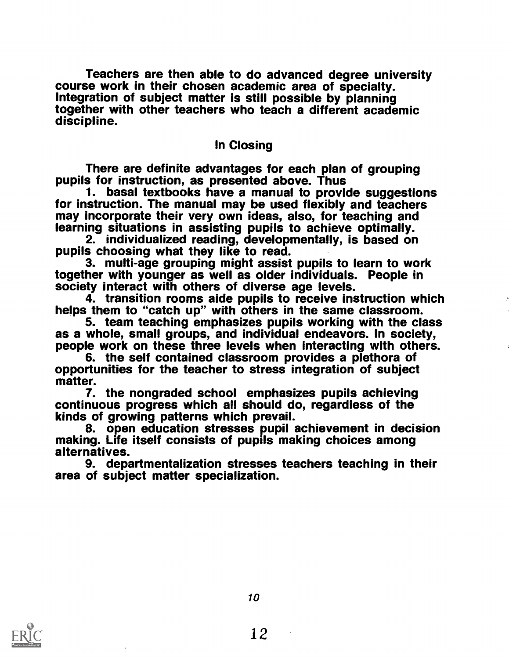Teachers are then able to do advanced degree university course work in their chosen academic area of specialty. Integration of subject matter is still possible by planning together with other teachers who teach a different academic discipline.

#### In Closing

There are definite advantages for each plan of grouping pupils for instruction, as presented above. Thus

1. basal textbooks have a manual to provide suggestions for instruction. The manual may be used flexibly and teachers for instruction. The manual may incorporate their very own ideas, also, for teaching and learning situations in assisting pupils to achieve optimally.

2. individualized reading, developmentally, is based on pupils choosing what they like to read.

3. multi-age grouping might assist pupils to learn to work together with younger as well as older individuals. People in society interact with others of diverse age levels.

4. transition rooms aide pupils to receive instruction which

helps them to "catch up" with others in the same classroom.<br>5. team teaching emphasizes pupils working with the class<br>as a whole, small groups, and individual endeavors. In society,<br>people work on these three levels when i

opportunities for the teacher to stress integration of subject matter.

7. the nongraded school emphasizes pupils achieving continuous progress which all should do, regardless of the

8. open education stresses pupil achievement in decision making. Life itself consists of pupils making choices among alternatives.

9. departmentalization stresses teachers teaching in their area of subject matter specialization.

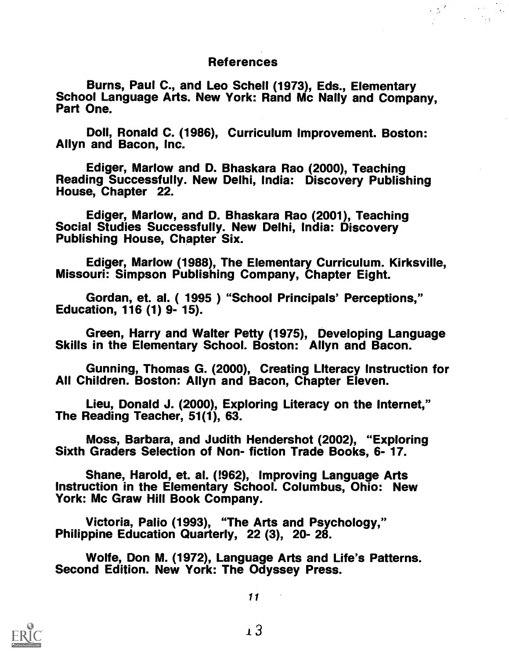#### References

Burns, Paul C., and Leo Schell (1973), Eds., Elementary School Language Arts. New York: Rand Mc Nally and Company, Part One.

Doll, Ronald C. (1986), Curriculum Improvement. Boston: Allyn and Bacon, Inc.

Ediger, Marlow and D. Bhaskara Rao (2000), Teaching Reading Successfully. New Delhi, India: Discovery Publishing House, Chapter 22.

Ediger, Marlow, and D. Bhaskara Rao (2001), Teaching Social Studies Successfully. New Delhi, India: Discovery Publishing House, Chapter Six.

Ediger, Marlow (1988), The Elementary Curriculum. Kirksville, Missouri: Simpson Publishing Company, Chapter Eight.

Gordan, et. al. ( 1995) "School Principals' Perceptions," Education, 116 (1) 9- 15).

Green, Harry and Walter Petty (1975), Developing Language Skills in the Elementary School. Boston: Allyn and Bacon.

Gunning, Thomas G. (2000), Creating Literacy Instruction for All Children. Boston: Allyn and Bacon, Chapter Eleven.

Lieu, Donald J. (2000), Exploring Literacy on the Internet," The Reading Teacher, 51(1), 63.

Moss, Barbara, and Judith Hendershot (2002), "Exploring Sixth Graders Selection of Non- fiction Trade Books, 6- 17.

Shane, Harold, et. al. (!962), Improving Language Arts Instruction in the Elementary School. Columbus, Ohio: New York: Mc Graw Hill Book Company.

Victoria, Palio (1993), "The Arts and Psychology," Philippine Education Quarterly, 22 (3), 20- 28.

Wolfe, Don M. (1972), Language Arts and Life's Patterns. Second Edition. New York: The Odyssey Press.

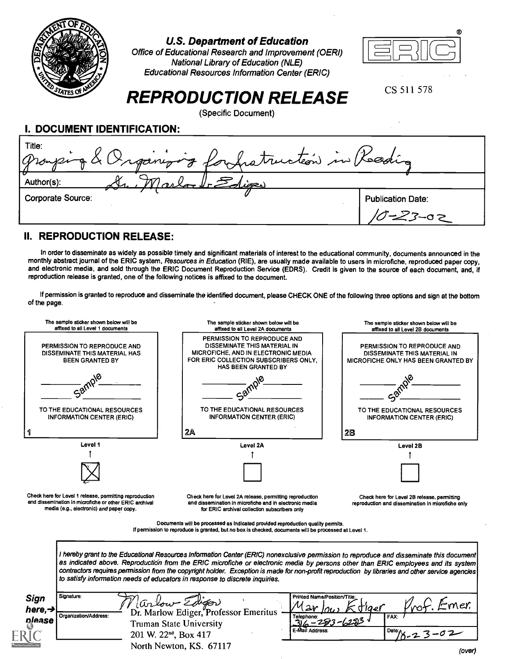

#### U.S. Department of Education

Office of Educational Research and Improvement (OERI) National Library of Education (NLE) Educational Resources Information Center (ERIC)



CS 511 578

# REPRODUCTION RELEASE

(Specific Document)

I. DOCUMENT IDENTIFICATION:

| Title:<br>Organizing for protruction in Reading |                          |
|-------------------------------------------------|--------------------------|
| Author(s):<br>ليحضل                             |                          |
| <b>Corporate Source:</b>                        | <b>Publication Date:</b> |

#### II. REPRODUCTION RELEASE:

In order to disseminate as widely as possible timely and significant materials of interest to the educational community, documents announced in the monthly abstract journal of the ERIC system, Resources in Education (RIE), are usually made available to users in microfiche, reproduced paper copy, and electronic media, and sold through the ERIC Document Reproduction Service (EDRS). Credit is given to the source of each document, and, if reproduction release is granted, one of the following notices is affixed to the document.

If permission is granted to reproduce and disseminate the identified document, please CHECK ONE of the following three options and sign at the bottom of the page.

| The sample sticker shown below will be<br>affixed to all Level 1 documents                                                                                    | The sample sticker shown below will be<br>affixed to all Level 2A documents                                                                                                              | The sample sticker shown below will be<br>affixed to all Level 2B documents                                                                                                                                                                                                                                                                                                                                                       |
|---------------------------------------------------------------------------------------------------------------------------------------------------------------|------------------------------------------------------------------------------------------------------------------------------------------------------------------------------------------|-----------------------------------------------------------------------------------------------------------------------------------------------------------------------------------------------------------------------------------------------------------------------------------------------------------------------------------------------------------------------------------------------------------------------------------|
| PERMISSION TO REPRODUCE AND<br>DISSEMINATE THIS MATERIAL HAS<br><b>BEEN GRANTED BY</b>                                                                        | PERMISSION TO REPRODUCE AND<br>DISSEMINATE THIS MATERIAL IN<br>MICROFICHE, AND IN ELECTRONIC MEDIA<br>FOR ERIC COLLECTION SUBSCRIBERS ONLY,<br>HAS BEEN GRANTED BY                       | <b>PERMISSION TO REPRODUCE AND</b><br>DISSEMINATE THIS MATERIAL IN<br><b>MICROFICHE ONLY HAS BEEN GRANTED BY</b>                                                                                                                                                                                                                                                                                                                  |
|                                                                                                                                                               |                                                                                                                                                                                          |                                                                                                                                                                                                                                                                                                                                                                                                                                   |
| TO THE EDUCATIONAL RESOURCES<br><b>INFORMATION CENTER (ERIC)</b>                                                                                              | TO THE EDUCATIONAL RESOURCES<br><b>INFORMATION CENTER (ERIC)</b>                                                                                                                         | TO THE EDUCATIONAL RESOURCES<br><b>INFORMATION CENTER (ERIC)</b>                                                                                                                                                                                                                                                                                                                                                                  |
|                                                                                                                                                               | 2A                                                                                                                                                                                       | 28                                                                                                                                                                                                                                                                                                                                                                                                                                |
| Level 1                                                                                                                                                       | Level 2A                                                                                                                                                                                 | Level 2B                                                                                                                                                                                                                                                                                                                                                                                                                          |
|                                                                                                                                                               |                                                                                                                                                                                          |                                                                                                                                                                                                                                                                                                                                                                                                                                   |
|                                                                                                                                                               |                                                                                                                                                                                          |                                                                                                                                                                                                                                                                                                                                                                                                                                   |
| Check here for Level 1 release, permitting reproduction<br>and dissemination in microfiche or other ERIC archival<br>media (e.g., electronic) and paper copy. | Check here for Level 2A release, permitting reproduction<br>and dissemination in microfiche and in electronic media<br>for ERIC archival collection subscribers only                     | Check here for Level 2B release, permitting<br>reproduction and dissemination in microfiche only                                                                                                                                                                                                                                                                                                                                  |
|                                                                                                                                                               | Documents will be processed as indicated provided reproduction quality permits.<br>If permission to reproduce is granted, but no box is checked, documents will be processed at Level 1. |                                                                                                                                                                                                                                                                                                                                                                                                                                   |
|                                                                                                                                                               | to satisfy information needs of educators in response to discrete inquiries.                                                                                                             | I hereby grant to the Educational Resources Information Center (ERIC) nonexclusive permission to reproduce and disseminate this document<br>as indicated above. Reproduction from the ERIC microfiche or electronic media by persons other than ERIC employees and its system<br>contractors requires permission from the copyright holder. Exception is made for non-profit reproduction by libraries and other service agencies |
| Signature:<br><b>Sign</b>                                                                                                                                     | arlow Edigon                                                                                                                                                                             | Printed Name/Position/Title:<br>mer.<br>tlaer                                                                                                                                                                                                                                                                                                                                                                                     |
| here, $\rightarrow$<br>Organization/Address:<br><b>please</b>                                                                                                 | Dr. Marlow Ediger, Professor Emeritus<br>Telephone:                                                                                                                                      | FAX:                                                                                                                                                                                                                                                                                                                                                                                                                              |
|                                                                                                                                                               | <b>Truman State University</b><br>E-Mail Address                                                                                                                                         | Date:                                                                                                                                                                                                                                                                                                                                                                                                                             |
|                                                                                                                                                               | 201 W. 22 <sup>nd</sup> , Box 417                                                                                                                                                        |                                                                                                                                                                                                                                                                                                                                                                                                                                   |
|                                                                                                                                                               | North Newton, KS. 67117                                                                                                                                                                  | (over)                                                                                                                                                                                                                                                                                                                                                                                                                            |